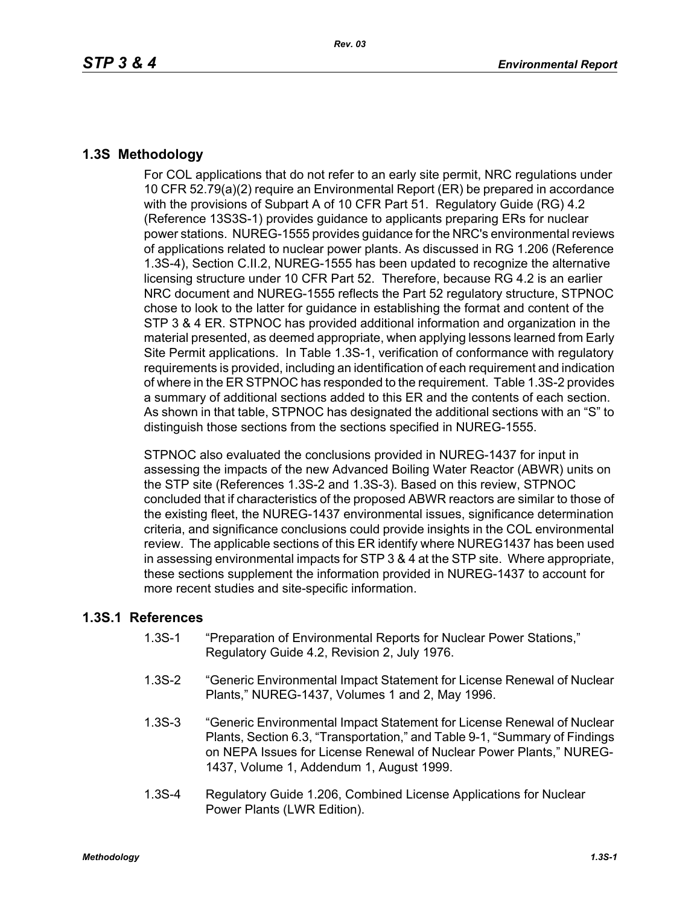## **1.3S Methodology**

For COL applications that do not refer to an early site permit, NRC regulations under 10 CFR 52.79(a)(2) require an Environmental Report (ER) be prepared in accordance with the provisions of Subpart A of 10 CFR Part 51. Regulatory Guide (RG) 4.2 (Reference 13S3S-1) provides guidance to applicants preparing ERs for nuclear power stations. NUREG-1555 provides guidance for the NRC's environmental reviews of applications related to nuclear power plants. As discussed in RG 1.206 (Reference 1.3S-4), Section C.II.2, NUREG-1555 has been updated to recognize the alternative licensing structure under 10 CFR Part 52. Therefore, because RG 4.2 is an earlier NRC document and NUREG-1555 reflects the Part 52 regulatory structure, STPNOC chose to look to the latter for guidance in establishing the format and content of the STP 3 & 4 ER. STPNOC has provided additional information and organization in the material presented, as deemed appropriate, when applying lessons learned from Early Site Permit applications. In Table 1.3S-1, verification of conformance with regulatory requirements is provided, including an identification of each requirement and indication of where in the ER STPNOC has responded to the requirement. Table 1.3S-2 provides a summary of additional sections added to this ER and the contents of each section. As shown in that table, STPNOC has designated the additional sections with an "S" to distinguish those sections from the sections specified in NUREG-1555.

STPNOC also evaluated the conclusions provided in NUREG-1437 for input in assessing the impacts of the new Advanced Boiling Water Reactor (ABWR) units on the STP site (References 1.3S-2 and 1.3S-3). Based on this review, STPNOC concluded that if characteristics of the proposed ABWR reactors are similar to those of the existing fleet, the NUREG-1437 environmental issues, significance determination criteria, and significance conclusions could provide insights in the COL environmental review. The applicable sections of this ER identify where NUREG1437 has been used in assessing environmental impacts for STP 3 & 4 at the STP site. Where appropriate, these sections supplement the information provided in NUREG-1437 to account for more recent studies and site-specific information.

## **1.3S.1 References**

- 1.3S-1 "Preparation of Environmental Reports for Nuclear Power Stations," Regulatory Guide 4.2, Revision 2, July 1976.
- 1.3S-2 "Generic Environmental Impact Statement for License Renewal of Nuclear Plants," NUREG-1437, Volumes 1 and 2, May 1996.
- 1.3S-3 "Generic Environmental Impact Statement for License Renewal of Nuclear Plants, Section 6.3, "Transportation," and Table 9-1, "Summary of Findings on NEPA Issues for License Renewal of Nuclear Power Plants," NUREG-1437, Volume 1, Addendum 1, August 1999.
- 1.3S-4 Regulatory Guide 1.206, Combined License Applications for Nuclear Power Plants (LWR Edition).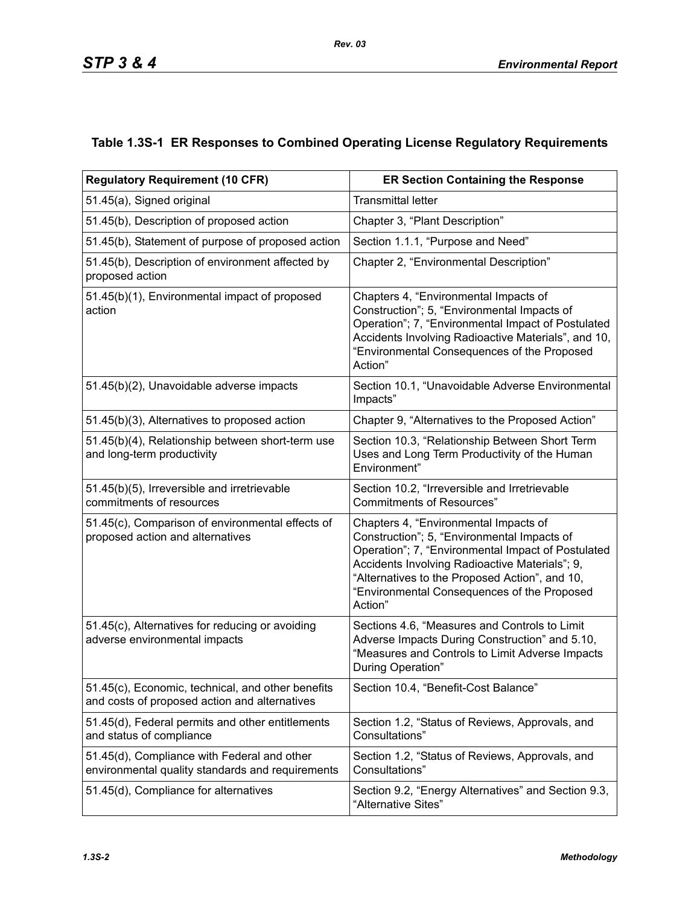## **Table 1.3S-1 ER Responses to Combined Operating License Regulatory Requirements**

| <b>Regulatory Requirement (10 CFR)</b>                                                             | <b>ER Section Containing the Response</b>                                                                                                                                                                                                                                                                |  |  |  |
|----------------------------------------------------------------------------------------------------|----------------------------------------------------------------------------------------------------------------------------------------------------------------------------------------------------------------------------------------------------------------------------------------------------------|--|--|--|
| 51.45(a), Signed original                                                                          | <b>Transmittal letter</b>                                                                                                                                                                                                                                                                                |  |  |  |
| 51.45(b), Description of proposed action                                                           | Chapter 3, "Plant Description"                                                                                                                                                                                                                                                                           |  |  |  |
| 51.45(b), Statement of purpose of proposed action                                                  | Section 1.1.1, "Purpose and Need"                                                                                                                                                                                                                                                                        |  |  |  |
| 51.45(b), Description of environment affected by<br>proposed action                                | Chapter 2, "Environmental Description"                                                                                                                                                                                                                                                                   |  |  |  |
| 51.45(b)(1), Environmental impact of proposed<br>action                                            | Chapters 4, "Environmental Impacts of<br>Construction"; 5, "Environmental Impacts of<br>Operation"; 7, "Environmental Impact of Postulated<br>Accidents Involving Radioactive Materials", and 10,<br>"Environmental Consequences of the Proposed<br>Action"                                              |  |  |  |
| 51.45(b)(2), Unavoidable adverse impacts                                                           | Section 10.1, "Unavoidable Adverse Environmental<br>Impacts"                                                                                                                                                                                                                                             |  |  |  |
| 51.45(b)(3), Alternatives to proposed action                                                       | Chapter 9, "Alternatives to the Proposed Action"                                                                                                                                                                                                                                                         |  |  |  |
| 51.45(b)(4), Relationship between short-term use<br>and long-term productivity                     | Section 10.3, "Relationship Between Short Term<br>Uses and Long Term Productivity of the Human<br>Environment"                                                                                                                                                                                           |  |  |  |
| 51.45(b)(5), Irreversible and irretrievable<br>commitments of resources                            | Section 10.2, "Irreversible and Irretrievable<br><b>Commitments of Resources"</b>                                                                                                                                                                                                                        |  |  |  |
| 51.45(c), Comparison of environmental effects of<br>proposed action and alternatives               | Chapters 4, "Environmental Impacts of<br>Construction"; 5, "Environmental Impacts of<br>Operation"; 7, "Environmental Impact of Postulated<br>Accidents Involving Radioactive Materials"; 9,<br>"Alternatives to the Proposed Action", and 10,<br>"Environmental Consequences of the Proposed<br>Action" |  |  |  |
| 51.45(c), Alternatives for reducing or avoiding<br>adverse environmental impacts                   | Sections 4.6, "Measures and Controls to Limit<br>Adverse Impacts During Construction" and 5.10,<br>"Measures and Controls to Limit Adverse Impacts<br>During Operation"                                                                                                                                  |  |  |  |
| 51.45(c), Economic, technical, and other benefits<br>and costs of proposed action and alternatives | Section 10.4, "Benefit-Cost Balance"                                                                                                                                                                                                                                                                     |  |  |  |
| 51.45(d), Federal permits and other entitlements<br>and status of compliance                       | Section 1.2, "Status of Reviews, Approvals, and<br>Consultations"                                                                                                                                                                                                                                        |  |  |  |
| 51.45(d), Compliance with Federal and other<br>environmental quality standards and requirements    | Section 1.2, "Status of Reviews, Approvals, and<br>Consultations"                                                                                                                                                                                                                                        |  |  |  |
| 51.45(d), Compliance for alternatives                                                              | Section 9.2, "Energy Alternatives" and Section 9.3,<br>"Alternative Sites"                                                                                                                                                                                                                               |  |  |  |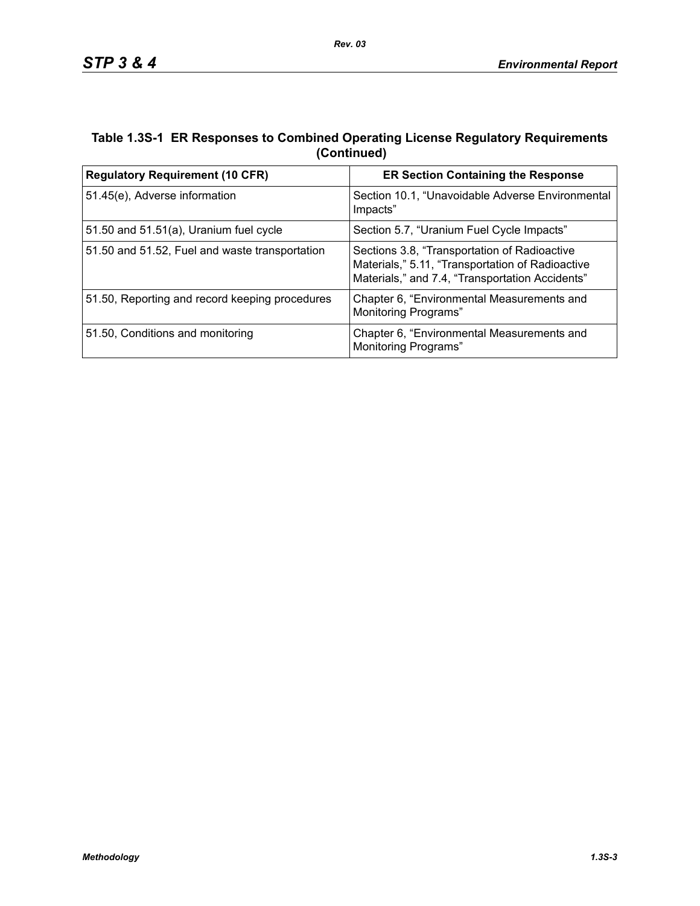## **Table 1.3S-1 ER Responses to Combined Operating License Regulatory Requirements (Continued)**

| <b>Regulatory Requirement (10 CFR)</b>         | <b>ER Section Containing the Response</b>                                                                                                           |  |  |
|------------------------------------------------|-----------------------------------------------------------------------------------------------------------------------------------------------------|--|--|
| 51.45(e), Adverse information                  | Section 10.1, "Unavoidable Adverse Environmental<br>Impacts"                                                                                        |  |  |
| 51.50 and $51.51(a)$ , Uranium fuel cycle      | Section 5.7, "Uranium Fuel Cycle Impacts"                                                                                                           |  |  |
| 51.50 and 51.52, Fuel and waste transportation | Sections 3.8, "Transportation of Radioactive<br>Materials," 5.11, "Transportation of Radioactive<br>Materials," and 7.4, "Transportation Accidents" |  |  |
| 51.50, Reporting and record keeping procedures | Chapter 6, "Environmental Measurements and<br><b>Monitoring Programs"</b>                                                                           |  |  |
| 51.50, Conditions and monitoring               | Chapter 6, "Environmental Measurements and<br>Monitoring Programs"                                                                                  |  |  |